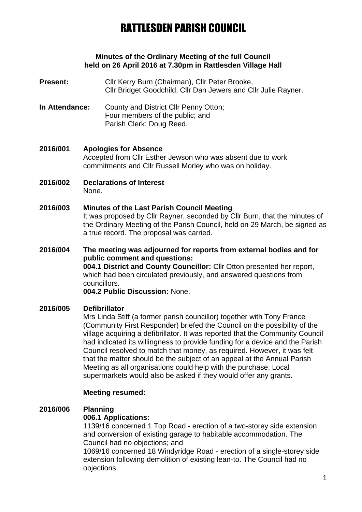#### **Minutes of the Ordinary Meeting of the full Council held on 26 April 2016 at 7.30pm in Rattlesden Village Hall**

- Present: Cllr Kerry Burn (Chairman), Cllr Peter Brooke, Cllr Bridget Goodchild, Cllr Dan Jewers and Cllr Julie Rayner.
- **In Attendance:** County and District Cllr Penny Otton; Four members of the public; and Parish Clerk: Doug Reed.

#### **2016/001 Apologies for Absence** Accepted from Cllr Esther Jewson who was absent due to work commitments and Cllr Russell Morley who was on holiday.

**2016/002 Declarations of Interest** None.

# **2016/003 Minutes of the Last Parish Council Meeting**

It was proposed by Cllr Rayner, seconded by Cllr Burn, that the minutes of the Ordinary Meeting of the Parish Council, held on 29 March, be signed as a true record. The proposal was carried.

**2016/004 The meeting was adjourned for reports from external bodies and for public comment and questions: 004.1 District and County Councillor:** Cllr Otton presented her report, which had been circulated previously, and answered questions from councillors. **004.2 Public Discussion:** None.

#### **2016/005 Defibrillator**

Mrs Linda Stiff (a former parish councillor) together with Tony France (Community First Responder) briefed the Council on the possibility of the village acquiring a defibrillator. It was reported that the Community Council had indicated its willingness to provide funding for a device and the Parish Council resolved to match that money, as required. However, it was felt that the matter should be the subject of an appeal at the Annual Parish Meeting as all organisations could help with the purchase. Local supermarkets would also be asked if they would offer any grants.

#### **Meeting resumed:**

#### **2016/006 Planning**

#### **006.1 Applications:**

1139/16 concerned 1 Top Road - erection of a two-storey side extension and conversion of existing garage to habitable accommodation. The Council had no objections; and

1069/16 concerned 18 Windyridge Road - erection of a single-storey side extension following demolition of existing lean-to. The Council had no objections.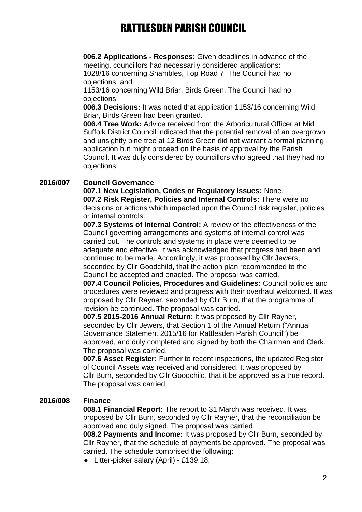**006.2 Applications - Responses:** Given deadlines in advance of the meeting, councillors had necessarily considered applications: 1028/16 concerning Shambles, Top Road 7. The Council had no objections; and

1153/16 concerning Wild Briar, Birds Green. The Council had no objections.

**006.3 Decisions:** It was noted that application 1153/16 concerning Wild Briar, Birds Green had been granted.

**006.4 Tree Work:** Advice received from the Arboricultural Officer at Mid Suffolk District Council indicated that the potential removal of an overgrown and unsightly pine tree at 12 Birds Green did not warrant a formal planning application but might proceed on the basis of approval by the Parish Council. It was duly considered by councillors who agreed that they had no objections.

#### **2016/007 Council Governance**

**007.1 New Legislation, Codes or Regulatory Issues:** None. **007.2 Risk Register, Policies and Internal Controls:** There were no decisions or actions which impacted upon the Council risk register, policies or internal controls.

**007.3 Systems of Internal Control:** A review of the effectiveness of the Council governing arrangements and systems of internal control was carried out. The controls and systems in place were deemed to be adequate and effective. It was acknowledged that progress had been and continued to be made. Accordingly, it was proposed by Cllr Jewers, seconded by Cllr Goodchild, that the action plan recommended to the Council be accepted and enacted. The proposal was carried.

**007.4 Council Policies, Procedures and Guidelines:** Council policies and procedures were reviewed and progress with their overhaul welcomed. It was proposed by Cllr Rayner, seconded by Cllr Burn, that the programme of revision be continued. The proposal was carried.

**007.5 2015-2016 Annual Return:** It was proposed by Cllr Rayner, seconded by Cllr Jewers, that Section 1 of the Annual Return ("Annual Governance Statement 2015/16 for Rattlesden Parish Council") be approved, and duly completed and signed by both the Chairman and Clerk. The proposal was carried.

**007.6 Asset Register:** Further to recent inspections, the updated Register of Council Assets was received and considered. It was proposed by Cllr Burn, seconded by Cllr Goodchild, that it be approved as a true record. The proposal was carried.

#### **2016/008 Finance**

**008.1 Financial Report:** The report to 31 March was received. It was proposed by Cllr Burn, seconded by Cllr Rayner, that the reconciliation be approved and duly signed. The proposal was carried.

**008.2 Payments and Income:** It was proposed by Cllr Burn, seconded by Cllr Rayner, that the schedule of payments be approved. The proposal was carried. The schedule comprised the following:

Litter-picker salary (April) - £139.18;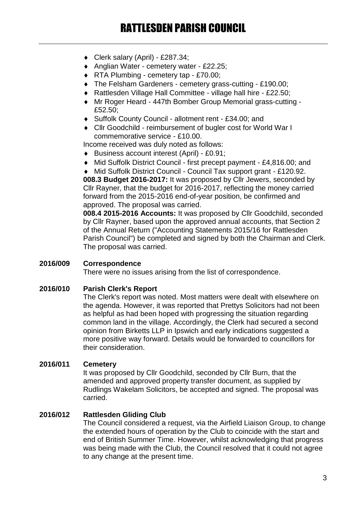- Clerk salary (April) £287.34;
- ◆ Anglian Water cemetery water £22.25;
- ◆ RTA Plumbing cemetery tap £70.00;
- The Felsham Gardeners cemetery grass-cutting £190.00;
- Rattlesden Village Hall Committee village hall hire £22.50;
- Mr Roger Heard 447th Bomber Group Memorial grass-cutting £52.50;
- Suffolk County Council allotment rent £34.00; and
- Cllr Goodchild reimbursement of bugler cost for World War I commemorative service - £10.00.

Income received was duly noted as follows:

- Business account interest (April) £0.91;
- Mid Suffolk District Council first precept payment £4,816.00; and
- Mid Suffolk District Council Council Tax support grant £120.92.

**008.3 Budget 2016-2017:** It was proposed by Cllr Jewers, seconded by Cllr Rayner, that the budget for 2016-2017, reflecting the money carried forward from the 2015-2016 end-of-year position, be confirmed and approved. The proposal was carried.

**008.4 2015-2016 Accounts:** It was proposed by Cllr Goodchild, seconded by Cllr Rayner, based upon the approved annual accounts, that Section 2 of the Annual Return ("Accounting Statements 2015/16 for Rattlesden Parish Council") be completed and signed by both the Chairman and Clerk. The proposal was carried.

# **2016/009 Correspondence**

There were no issues arising from the list of correspondence.

#### **2016/010 Parish Clerk's Report**

The Clerk's report was noted. Most matters were dealt with elsewhere on the agenda. However, it was reported that Prettys Solicitors had not been as helpful as had been hoped with progressing the situation regarding common land in the village. Accordingly, the Clerk had secured a second opinion from Birketts LLP in Ipswich and early indications suggested a more positive way forward. Details would be forwarded to councillors for their consideration.

#### **2016/011 Cemetery**

It was proposed by Cllr Goodchild, seconded by Cllr Burn, that the amended and approved property transfer document, as supplied by Rudlings Wakelam Solicitors, be accepted and signed. The proposal was carried.

#### **2016/012 Rattlesden Gliding Club**

The Council considered a request, via the Airfield Liaison Group, to change the extended hours of operation by the Club to coincide with the start and end of British Summer Time. However, whilst acknowledging that progress was being made with the Club, the Council resolved that it could not agree to any change at the present time.